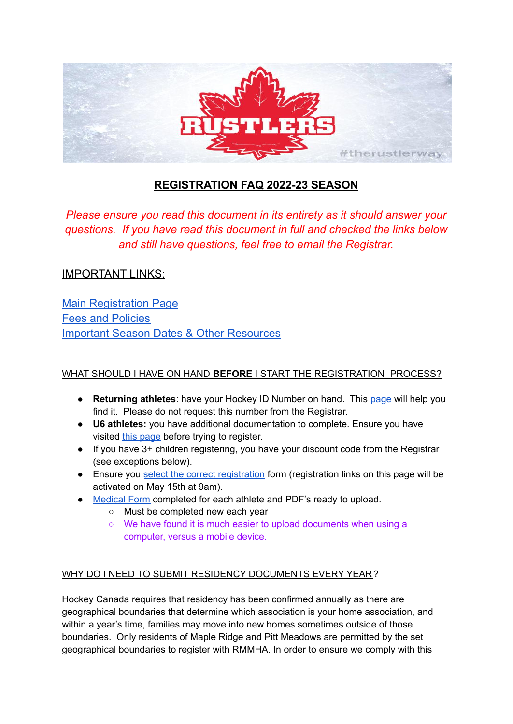

# **REGISTRATION FAQ 2022-23 SEASON**

*Please ensure you read this document in its entirety as it should answer your questions. If you have read this document in full and checked the links below and still have questions, feel free to email the Registrar.*

## IMPORTANT LINKS:

**Main [Registration](https://www.ridgemeadowshockey.com/choose-correct-registration/) Page** Fees and [Policies](https://www.ridgemeadowshockey.com/fees-and-policies/) Important Season Dates & Other [Resources](https://www.ridgemeadowshockey.com/registration-resources/)

## WHAT SHOULD I HAVE ON HAND **BEFORE** I START THE REGISTRATION PROCESS?

- **Returning athletes**: have your Hockey ID Number on hand. This [page](https://www.ridgemeadowshockey.com/find-your-hockey-id/) will help you find it. Please do not request this number from the Registrar.
- **U6 athletes:** you have additional documentation to complete. Ensure you have visited this [page](https://www.ridgemeadowshockey.com/new-athlete-registration/) before trying to register.
- If you have 3+ children registering, you have your discount code from the Registrar (see exceptions below).
- Ensure you select the correct [registration](https://www.ridgemeadowshockey.com/choose-correct-registration/) form (registration links on this page will be activated on May 15th at 9am).
- [Medical](https://form.jotform.com/221036381687256) Form completed for each athlete and PDF's ready to upload.
	- Must be completed new each year
	- We have found it is much easier to upload documents when using a computer, versus a mobile device.

## WHY DO I NEED TO SUBMIT RESIDENCY DOCUMENTS EVERY YEAR?

Hockey Canada requires that residency has been confirmed annually as there are geographical boundaries that determine which association is your home association, and within a year's time, families may move into new homes sometimes outside of those boundaries. Only residents of Maple Ridge and Pitt Meadows are permitted by the set geographical boundaries to register with RMMHA. In order to ensure we comply with this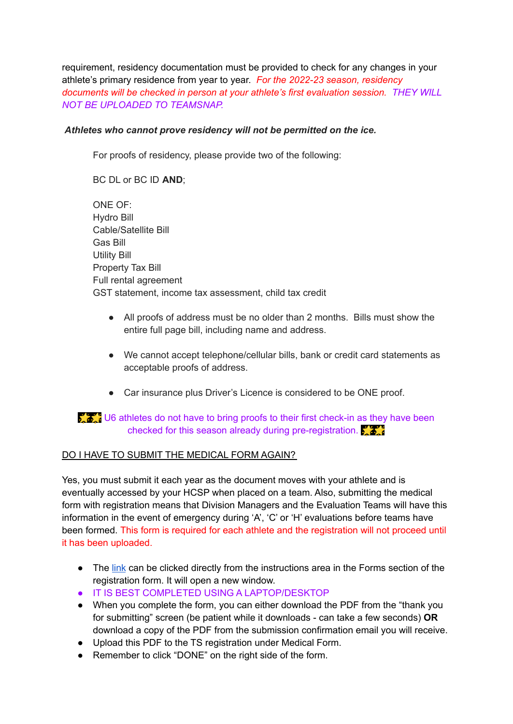requirement, residency documentation must be provided to check for any changes in your athlete's primary residence from year to year. *For the 2022-23 season, residency documents will be checked in person at your athlete's first evaluation session. THEY WILL NOT BE UPLOADED TO TEAMSNAP.*

## *Athletes who cannot prove residency will not be permitted on the ice.*

For proofs of residency, please provide two of the following:

BC DL or BC ID **AND**;

ONE OF: Hydro Bill Cable/Satellite Bill Gas Bill Utility Bill Property Tax Bill Full rental agreement GST statement, income tax assessment, child tax credit

- All proofs of address must be no older than 2 months. Bills must show the entire full page bill, including name and address.
- We cannot accept telephone/cellular bills, bank or credit card statements as acceptable proofs of address.
- Car insurance plus Driver's Licence is considered to be ONE proof.

## $\sum_{n=1}^{\infty}$  U6 athletes do not have to bring proofs to their first check-in as they have been checked for this season already during pre-registration.

#### DO I HAVE TO SUBMIT THE MEDICAL FORM AGAIN?

Yes, you must submit it each year as the document moves with your athlete and is eventually accessed by your HCSP when placed on a team. Also, submitting the medical form with registration means that Division Managers and the Evaluation Teams will have this information in the event of emergency during 'A', 'C' or 'H' evaluations before teams have been formed. This form is required for each athlete and the registration will not proceed until it has been uploaded.

- The [link](https://form.jotform.com/221036381687256) can be clicked directly from the instructions area in the Forms section of the registration form. It will open a new window.
- IT IS BEST COMPLETED USING A LAPTOP/DESKTOP
- When you complete the form, you can either download the PDF from the "thank you for submitting" screen (be patient while it downloads - can take a few seconds) **OR** download a copy of the PDF from the submission confirmation email you will receive.
- Upload this PDF to the TS registration under Medical Form.
- Remember to click "DONE" on the right side of the form.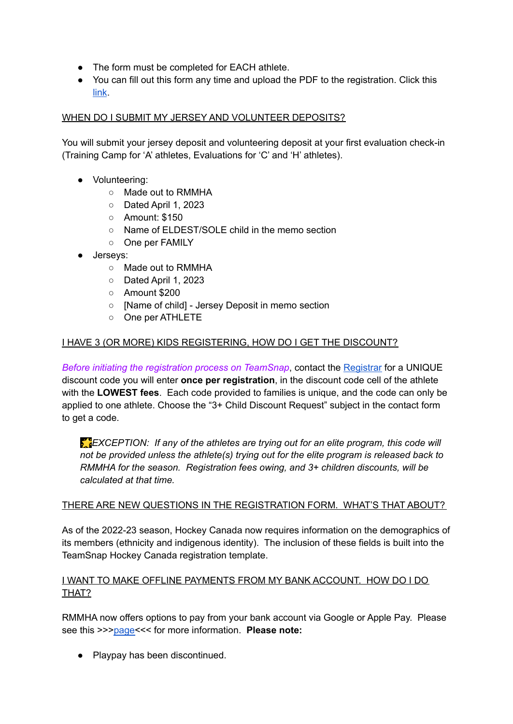- The form must be completed for EACH athlete.
- You can fill out this form any time and upload the PDF to the registration. Click this [link](https://form.jotform.com/221036381687256).

## WHEN DO I SUBMIT MY JERSEY AND VOLUNTEER DEPOSITS?

You will submit your jersey deposit and volunteering deposit at your first evaluation check-in (Training Camp for 'A' athletes, Evaluations for 'C' and 'H' athletes).

- Volunteering:
	- Made out to RMMHA
	- Dated April 1, 2023
	- Amount: \$150
	- Name of ELDEST/SOLE child in the memo section
	- One per FAMILY
- Jerseys:
	- Made out to RMMHA
	- Dated April 1, 2023
	- Amount \$200
	- [Name of child] Jersey Deposit in memo section
	- One per ATHLETE

## I HAVE 3 (OR MORE) KIDS REGISTERING, HOW DO I GET THE DISCOUNT?

*Before initiating the registration process on TeamSnap*, contact the [Registrar](https://form.jotform.com/211196153397055) for a UNIQUE discount code you will enter **once per registration**, in the discount code cell of the athlete with the **LOWEST fees**. Each code provided to families is unique, and the code can only be applied to one athlete. Choose the "3+ Child Discount Request" subject in the contact form to get a code.

*EXCEPTION: If any of the athletes are trying out for an elite program, this code will not be provided unless the athlete(s) trying out for the elite program is released back to RMMHA for the season. Registration fees owing, and 3+ children discounts, will be calculated at that time.*

#### THERE ARE NEW QUESTIONS IN THE REGISTRATION FORM. WHAT'S THAT ABOUT?

As of the 2022-23 season, Hockey Canada now requires information on the demographics of its members (ethnicity and indigenous identity). The inclusion of these fields is built into the TeamSnap Hockey Canada registration template.

## I WANT TO MAKE OFFLINE PAYMENTS FROM MY BANK ACCOUNT. HOW DO I DO THAT?

RMMHA now offers options to pay from your bank account via Google or Apple Pay. Please see this >>[>page<](https://www.ridgemeadowshockey.com/google-or-apple-pay/)<< for more information. **Please note:**

*●* Playpay has been discontinued.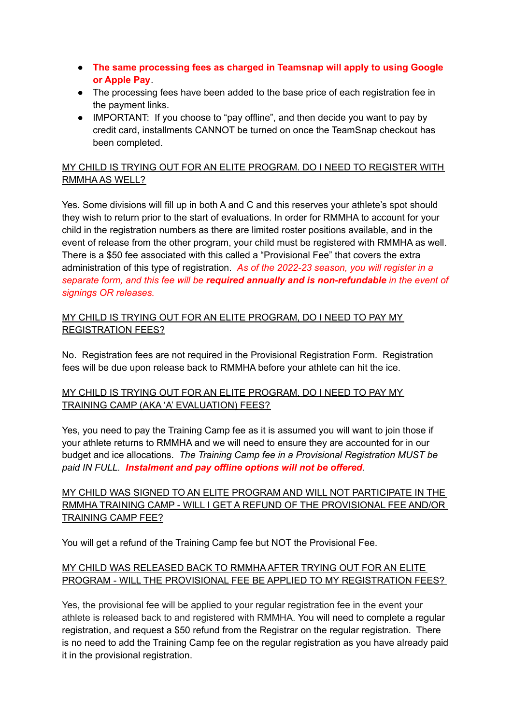- *●* **The same processing fees as charged in Teamsnap will apply to using Google or Apple Pay**.
- The processing fees have been added to the base price of each registration fee in the payment links.
- IMPORTANT: If you choose to "pay offline", and then decide you want to pay by credit card, installments CANNOT be turned on once the TeamSnap checkout has been completed.

## MY CHILD IS TRYING OUT FOR AN ELITE PROGRAM. DO I NEED TO REGISTER WITH RMMHA AS WELL?

Yes. Some divisions will fill up in both A and C and this reserves your athlete's spot should they wish to return prior to the start of evaluations. In order for RMMHA to account for your child in the registration numbers as there are limited roster positions available, and in the event of release from the other program, your child must be registered with RMMHA as well. There is a \$50 fee associated with this called a "Provisional Fee" that covers the extra administration of this type of registration. *As of the 2022-23 season, you will register in a separate form, and this fee will be required annually and is non-refundable in the event of signings OR releases.*

## MY CHILD IS TRYING OUT FOR AN ELITE PROGRAM, DO I NEED TO PAY MY REGISTRATION FEES?

No. Registration fees are not required in the Provisional Registration Form. Registration fees will be due upon release back to RMMHA before your athlete can hit the ice.

## MY CHILD IS TRYING OUT FOR AN ELITE PROGRAM, DO I NEED TO PAY MY TRAINING CAMP (AKA 'A' EVALUATION) FEES?

Yes, you need to pay the Training Camp fee as it is assumed you will want to join those if your athlete returns to RMMHA and we will need to ensure they are accounted for in our budget and ice allocations. *The Training Camp fee in a Provisional Registration MUST be paid IN FULL. Instalment and pay offline options will not be offered.*

## MY CHILD WAS SIGNED TO AN ELITE PROGRAM AND WILL NOT PARTICIPATE IN THE RMMHA TRAINING CAMP - WILL I GET A REFUND OF THE PROVISIONAL FEE AND/OR TRAINING CAMP FEE?

You will get a refund of the Training Camp fee but NOT the Provisional Fee.

## MY CHILD WAS RELEASED BACK TO RMMHA AFTER TRYING OUT FOR AN ELITE PROGRAM - WILL THE PROVISIONAL FEE BE APPLIED TO MY REGISTRATION FEES?

Yes, the provisional fee will be applied to your regular registration fee in the event your athlete is released back to and registered with RMMHA. You will need to complete a regular registration, and request a \$50 refund from the Registrar on the regular registration. There is no need to add the Training Camp fee on the regular registration as you have already paid it in the provisional registration.